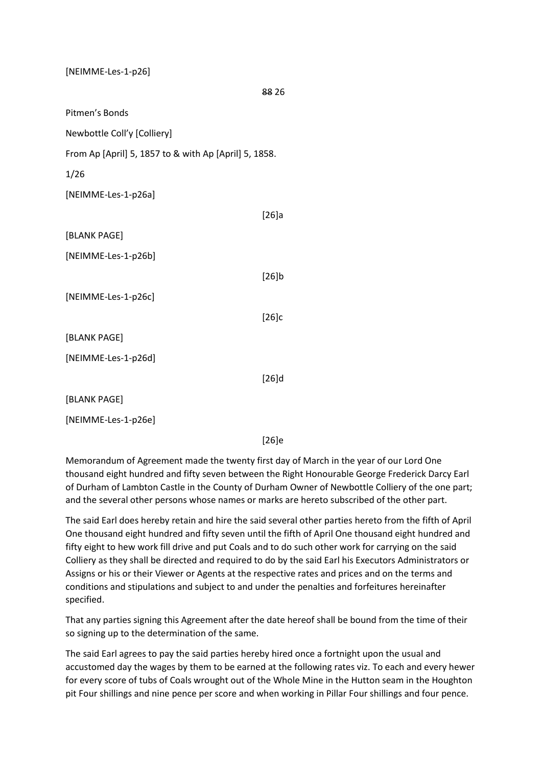[NEIMME-Les-1-p26]

88 26

Pitmen's Bonds

Newbottle Coll'y [Colliery]

From Ap [April] 5, 1857 to & with Ap [April] 5, 1858.

1/26

[NEIMME-Les-1-p26a]

|                     | [26]a    |
|---------------------|----------|
| [BLANK PAGE]        |          |
| [NEIMME-Les-1-p26b] |          |
|                     | [26]b    |
| [NEIMME-Les-1-p26c] |          |
|                     | [26]c    |
| [BLANK PAGE]        |          |
| [NEIMME-Les-1-p26d] |          |
|                     | $[26]$ d |
| [BLANK PAGE]        |          |
| [NEIMME-Les-1-p26e] |          |

[26]e

Memorandum of Agreement made the twenty first day of March in the year of our Lord One thousand eight hundred and fifty seven between the Right Honourable George Frederick Darcy Earl of Durham of Lambton Castle in the County of Durham Owner of Newbottle Colliery of the one part; and the several other persons whose names or marks are hereto subscribed of the other part.

The said Earl does hereby retain and hire the said several other parties hereto from the fifth of April One thousand eight hundred and fifty seven until the fifth of April One thousand eight hundred and fifty eight to hew work fill drive and put Coals and to do such other work for carrying on the said Colliery as they shall be directed and required to do by the said Earl his Executors Administrators or Assigns or his or their Viewer or Agents at the respective rates and prices and on the terms and conditions and stipulations and subject to and under the penalties and forfeitures hereinafter specified.

That any parties signing this Agreement after the date hereof shall be bound from the time of their so signing up to the determination of the same.

The said Earl agrees to pay the said parties hereby hired once a fortnight upon the usual and accustomed day the wages by them to be earned at the following rates viz. To each and every hewer for every score of tubs of Coals wrought out of the Whole Mine in the Hutton seam in the Houghton pit Four shillings and nine pence per score and when working in Pillar Four shillings and four pence.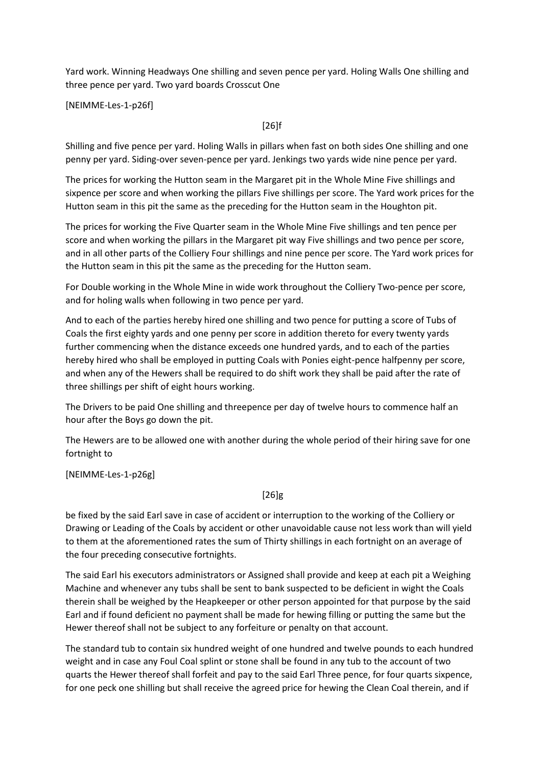Yard work. Winning Headways One shilling and seven pence per yard. Holing Walls One shilling and three pence per yard. Two yard boards Crosscut One

[NEIMME-Les-1-p26f]

[26]f

Shilling and five pence per yard. Holing Walls in pillars when fast on both sides One shilling and one penny per yard. Siding-over seven-pence per yard. Jenkings two yards wide nine pence per yard.

The prices for working the Hutton seam in the Margaret pit in the Whole Mine Five shillings and sixpence per score and when working the pillars Five shillings per score. The Yard work prices for the Hutton seam in this pit the same as the preceding for the Hutton seam in the Houghton pit.

The prices for working the Five Quarter seam in the Whole Mine Five shillings and ten pence per score and when working the pillars in the Margaret pit way Five shillings and two pence per score, and in all other parts of the Colliery Four shillings and nine pence per score. The Yard work prices for the Hutton seam in this pit the same as the preceding for the Hutton seam.

For Double working in the Whole Mine in wide work throughout the Colliery Two-pence per score, and for holing walls when following in two pence per yard.

And to each of the parties hereby hired one shilling and two pence for putting a score of Tubs of Coals the first eighty yards and one penny per score in addition thereto for every twenty yards further commencing when the distance exceeds one hundred yards, and to each of the parties hereby hired who shall be employed in putting Coals with Ponies eight-pence halfpenny per score, and when any of the Hewers shall be required to do shift work they shall be paid after the rate of three shillings per shift of eight hours working.

The Drivers to be paid One shilling and threepence per day of twelve hours to commence half an hour after the Boys go down the pit.

The Hewers are to be allowed one with another during the whole period of their hiring save for one fortnight to

[NEIMME-Les-1-p26g]

## [26]g

be fixed by the said Earl save in case of accident or interruption to the working of the Colliery or Drawing or Leading of the Coals by accident or other unavoidable cause not less work than will yield to them at the aforementioned rates the sum of Thirty shillings in each fortnight on an average of the four preceding consecutive fortnights.

The said Earl his executors administrators or Assigned shall provide and keep at each pit a Weighing Machine and whenever any tubs shall be sent to bank suspected to be deficient in wight the Coals therein shall be weighed by the Heapkeeper or other person appointed for that purpose by the said Earl and if found deficient no payment shall be made for hewing filling or putting the same but the Hewer thereof shall not be subject to any forfeiture or penalty on that account.

The standard tub to contain six hundred weight of one hundred and twelve pounds to each hundred weight and in case any Foul Coal splint or stone shall be found in any tub to the account of two quarts the Hewer thereof shall forfeit and pay to the said Earl Three pence, for four quarts sixpence, for one peck one shilling but shall receive the agreed price for hewing the Clean Coal therein, and if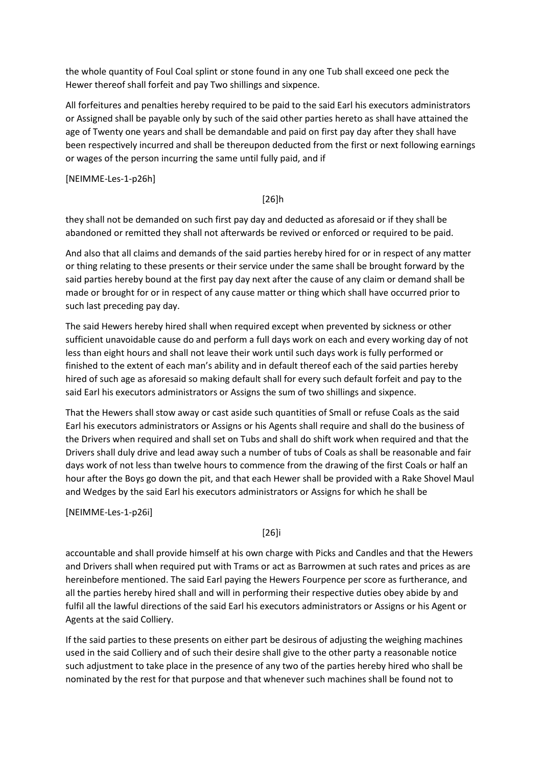the whole quantity of Foul Coal splint or stone found in any one Tub shall exceed one peck the Hewer thereof shall forfeit and pay Two shillings and sixpence.

All forfeitures and penalties hereby required to be paid to the said Earl his executors administrators or Assigned shall be payable only by such of the said other parties hereto as shall have attained the age of Twenty one years and shall be demandable and paid on first pay day after they shall have been respectively incurred and shall be thereupon deducted from the first or next following earnings or wages of the person incurring the same until fully paid, and if

[NEIMME-Les-1-p26h]

### [26]h

they shall not be demanded on such first pay day and deducted as aforesaid or if they shall be abandoned or remitted they shall not afterwards be revived or enforced or required to be paid.

And also that all claims and demands of the said parties hereby hired for or in respect of any matter or thing relating to these presents or their service under the same shall be brought forward by the said parties hereby bound at the first pay day next after the cause of any claim or demand shall be made or brought for or in respect of any cause matter or thing which shall have occurred prior to such last preceding pay day.

The said Hewers hereby hired shall when required except when prevented by sickness or other sufficient unavoidable cause do and perform a full days work on each and every working day of not less than eight hours and shall not leave their work until such days work is fully performed or finished to the extent of each man's ability and in default thereof each of the said parties hereby hired of such age as aforesaid so making default shall for every such default forfeit and pay to the said Earl his executors administrators or Assigns the sum of two shillings and sixpence.

That the Hewers shall stow away or cast aside such quantities of Small or refuse Coals as the said Earl his executors administrators or Assigns or his Agents shall require and shall do the business of the Drivers when required and shall set on Tubs and shall do shift work when required and that the Drivers shall duly drive and lead away such a number of tubs of Coals as shall be reasonable and fair days work of not less than twelve hours to commence from the drawing of the first Coals or half an hour after the Boys go down the pit, and that each Hewer shall be provided with a Rake Shovel Maul and Wedges by the said Earl his executors administrators or Assigns for which he shall be

[NEIMME-Les-1-p26i]

## [26]i

accountable and shall provide himself at his own charge with Picks and Candles and that the Hewers and Drivers shall when required put with Trams or act as Barrowmen at such rates and prices as are hereinbefore mentioned. The said Earl paying the Hewers Fourpence per score as furtherance, and all the parties hereby hired shall and will in performing their respective duties obey abide by and fulfil all the lawful directions of the said Earl his executors administrators or Assigns or his Agent or Agents at the said Colliery.

If the said parties to these presents on either part be desirous of adjusting the weighing machines used in the said Colliery and of such their desire shall give to the other party a reasonable notice such adjustment to take place in the presence of any two of the parties hereby hired who shall be nominated by the rest for that purpose and that whenever such machines shall be found not to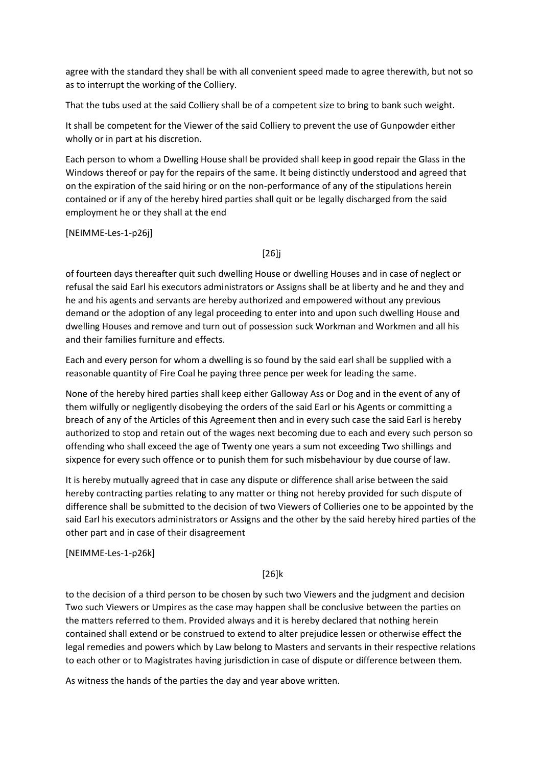agree with the standard they shall be with all convenient speed made to agree therewith, but not so as to interrupt the working of the Colliery.

That the tubs used at the said Colliery shall be of a competent size to bring to bank such weight.

It shall be competent for the Viewer of the said Colliery to prevent the use of Gunpowder either wholly or in part at his discretion.

Each person to whom a Dwelling House shall be provided shall keep in good repair the Glass in the Windows thereof or pay for the repairs of the same. It being distinctly understood and agreed that on the expiration of the said hiring or on the non-performance of any of the stipulations herein contained or if any of the hereby hired parties shall quit or be legally discharged from the said employment he or they shall at the end

[NEIMME-Les-1-p26j]

[26]j

of fourteen days thereafter quit such dwelling House or dwelling Houses and in case of neglect or refusal the said Earl his executors administrators or Assigns shall be at liberty and he and they and he and his agents and servants are hereby authorized and empowered without any previous demand or the adoption of any legal proceeding to enter into and upon such dwelling House and dwelling Houses and remove and turn out of possession suck Workman and Workmen and all his and their families furniture and effects.

Each and every person for whom a dwelling is so found by the said earl shall be supplied with a reasonable quantity of Fire Coal he paying three pence per week for leading the same.

None of the hereby hired parties shall keep either Galloway Ass or Dog and in the event of any of them wilfully or negligently disobeying the orders of the said Earl or his Agents or committing a breach of any of the Articles of this Agreement then and in every such case the said Earl is hereby authorized to stop and retain out of the wages next becoming due to each and every such person so offending who shall exceed the age of Twenty one years a sum not exceeding Two shillings and sixpence for every such offence or to punish them for such misbehaviour by due course of law.

It is hereby mutually agreed that in case any dispute or difference shall arise between the said hereby contracting parties relating to any matter or thing not hereby provided for such dispute of difference shall be submitted to the decision of two Viewers of Collieries one to be appointed by the said Earl his executors administrators or Assigns and the other by the said hereby hired parties of the other part and in case of their disagreement

[NEIMME-Les-1-p26k]

[26]k

to the decision of a third person to be chosen by such two Viewers and the judgment and decision Two such Viewers or Umpires as the case may happen shall be conclusive between the parties on the matters referred to them. Provided always and it is hereby declared that nothing herein contained shall extend or be construed to extend to alter prejudice lessen or otherwise effect the legal remedies and powers which by Law belong to Masters and servants in their respective relations to each other or to Magistrates having jurisdiction in case of dispute or difference between them.

As witness the hands of the parties the day and year above written.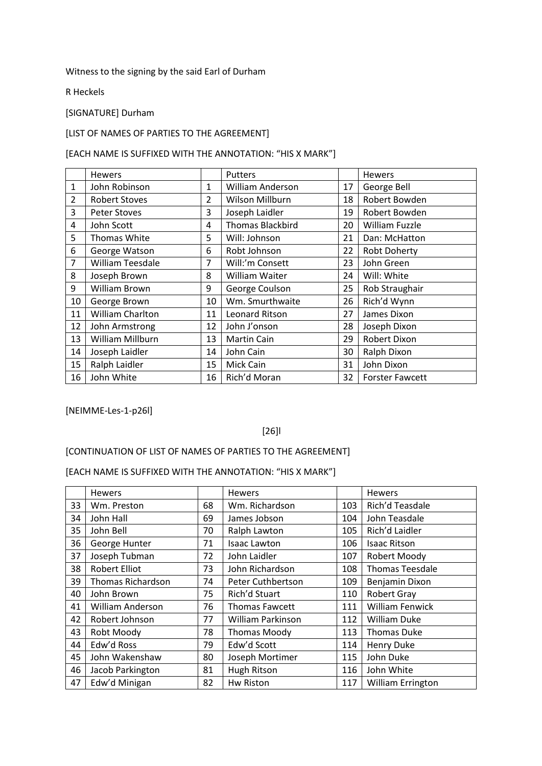### Witness to the signing by the said Earl of Durham

R Heckels

#### [SIGNATURE] Durham

### [LIST OF NAMES OF PARTIES TO THE AGREEMENT]

#### [EACH NAME IS SUFFIXED WITH THE ANNOTATION: "HIS X MARK"]

|                | <b>Hewers</b>           |                | <b>Putters</b>          |    | Hewers                 |
|----------------|-------------------------|----------------|-------------------------|----|------------------------|
| 1              | John Robinson           | 1              | <b>William Anderson</b> | 17 | George Bell            |
| $\overline{2}$ | <b>Robert Stoves</b>    | $\overline{2}$ | Wilson Millburn         | 18 | Robert Bowden          |
| 3              | <b>Peter Stoves</b>     | 3              | Joseph Laidler          | 19 | Robert Bowden          |
| 4              | John Scott              | 4              | <b>Thomas Blackbird</b> | 20 | <b>William Fuzzle</b>  |
| 5              | Thomas White            | 5              | Will: Johnson           | 21 | Dan: McHatton          |
| 6              | George Watson           | 6              | Robt Johnson            | 22 | <b>Robt Doherty</b>    |
| 7              | <b>William Teesdale</b> | 7              | Will:'m Consett         | 23 | John Green             |
| 8              | Joseph Brown            | 8              | William Waiter          | 24 | Will: White            |
| 9              | William Brown           | 9              | George Coulson          | 25 | Rob Straughair         |
| 10             | George Brown            | 10             | Wm. Smurthwaite         | 26 | Rich'd Wynn            |
| 11             | William Charlton        | 11             | Leonard Ritson          | 27 | James Dixon            |
| 12             | John Armstrong          | 12             | John J'onson            | 28 | Joseph Dixon           |
| 13             | William Millburn        | 13             | <b>Martin Cain</b>      | 29 | <b>Robert Dixon</b>    |
| 14             | Joseph Laidler          | 14             | John Cain               | 30 | Ralph Dixon            |
| 15             | Ralph Laidler           | 15             | Mick Cain               | 31 | John Dixon             |
| 16             | John White              | 16             | Rich'd Moran            | 32 | <b>Forster Fawcett</b> |

[NEIMME-Les-1-p26l]

### [26]l

## [CONTINUATION OF LIST OF NAMES OF PARTIES TO THE AGREEMENT]

|    | <b>Hewers</b>           |    | Hewers                   |     | Hewers                   |
|----|-------------------------|----|--------------------------|-----|--------------------------|
| 33 | Wm. Preston             | 68 | Wm. Richardson           | 103 | Rich'd Teasdale          |
| 34 | John Hall               | 69 | James Jobson             | 104 | John Teasdale            |
| 35 | John Bell               | 70 | Ralph Lawton             | 105 | Rich'd Laidler           |
| 36 | George Hunter           | 71 | <b>Isaac Lawton</b>      | 106 | <b>Isaac Ritson</b>      |
| 37 | Joseph Tubman           | 72 | John Laidler             | 107 | Robert Moody             |
| 38 | <b>Robert Elliot</b>    | 73 | John Richardson          | 108 | <b>Thomas Teesdale</b>   |
| 39 | Thomas Richardson       | 74 | <b>Peter Cuthbertson</b> | 109 | Benjamin Dixon           |
| 40 | John Brown              | 75 | Rich'd Stuart            | 110 | <b>Robert Gray</b>       |
| 41 | <b>William Anderson</b> | 76 | <b>Thomas Fawcett</b>    | 111 | <b>William Fenwick</b>   |
| 42 | Robert Johnson          | 77 | William Parkinson        | 112 | <b>William Duke</b>      |
| 43 | Robt Moody              | 78 | <b>Thomas Moody</b>      | 113 | <b>Thomas Duke</b>       |
| 44 | Edw'd Ross              | 79 | Edw'd Scott              | 114 | <b>Henry Duke</b>        |
| 45 | John Wakenshaw          | 80 | Joseph Mortimer          | 115 | John Duke                |
| 46 | Jacob Parkington        | 81 | Hugh Ritson              | 116 | John White               |
| 47 | Edw'd Minigan           | 82 | Hw Riston                | 117 | <b>William Errington</b> |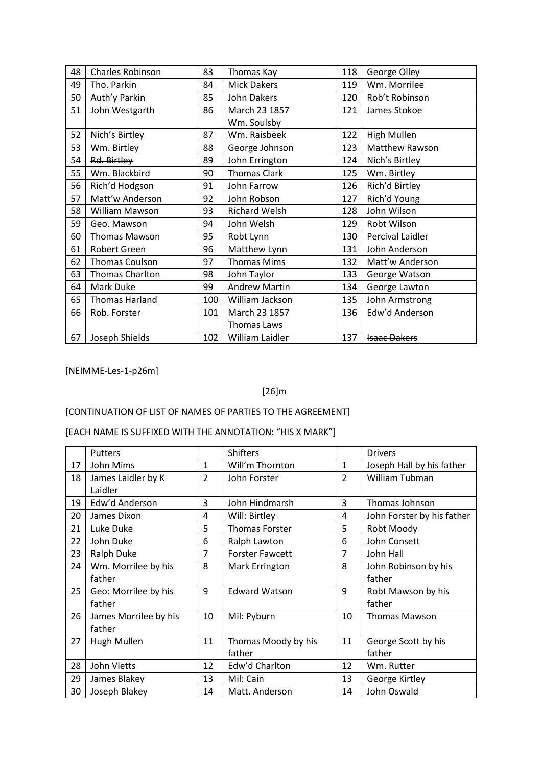| 48 | Charles Robinson     | 83  | Thomas Kay           | 118 | George Olley        |
|----|----------------------|-----|----------------------|-----|---------------------|
| 49 | Tho. Parkin          | 84  | <b>Mick Dakers</b>   | 119 | Wm. Morrilee        |
| 50 | Auth'y Parkin        | 85  | <b>John Dakers</b>   | 120 | Rob't Robinson      |
| 51 | John Westgarth       | 86  | March 23 1857        | 121 | James Stokoe        |
|    |                      |     | Wm. Soulsby          |     |                     |
| 52 | Nich's Birtley       | 87  | Wm. Raisbeek         | 122 | High Mullen         |
| 53 | Wm. Birtley          | 88  | George Johnson       | 123 | Matthew Rawson      |
| 54 | Rd. Birtley          | 89  | John Errington       | 124 | Nich's Birtley      |
| 55 | Wm. Blackbird        | 90  | <b>Thomas Clark</b>  | 125 | Wm. Birtley         |
| 56 | Rich'd Hodgson       | 91  | John Farrow          | 126 | Rich'd Birtley      |
| 57 | Matt'w Anderson      | 92  | John Robson          | 127 | Rich'd Young        |
| 58 | William Mawson       | 93  | Richard Welsh        | 128 | John Wilson         |
| 59 | Geo. Mawson          | 94  | John Welsh           | 129 | Robt Wilson         |
| 60 | <b>Thomas Mawson</b> | 95  | Robt Lynn            | 130 | Percival Laidler    |
| 61 | Robert Green         | 96  | Matthew Lynn         | 131 | John Anderson       |
| 62 | Thomas Coulson       | 97  | <b>Thomas Mims</b>   | 132 | Matt'w Anderson     |
| 63 | Thomas Charlton      | 98  | John Taylor          | 133 | George Watson       |
| 64 | Mark Duke            | 99  | <b>Andrew Martin</b> | 134 | George Lawton       |
| 65 | Thomas Harland       | 100 | William Jackson      | 135 | John Armstrong      |
| 66 | Rob. Forster         | 101 | March 23 1857        | 136 | Edw'd Anderson      |
|    |                      |     | Thomas Laws          |     |                     |
| 67 | Joseph Shields       | 102 | William Laidler      | 137 | <b>Isaac Dakers</b> |

[NEIMME-Les-1-p26m]

## [26]m

# [CONTINUATION OF LIST OF NAMES OF PARTIES TO THE AGREEMENT]

|    | Putters               |                | <b>Shifters</b>        |                | <b>Drivers</b>             |
|----|-----------------------|----------------|------------------------|----------------|----------------------------|
| 17 | John Mims             | $\mathbf{1}$   | Will'm Thornton        | $\mathbf{1}$   | Joseph Hall by his father  |
| 18 | James Laidler by K    | $\overline{2}$ | John Forster           | $\overline{2}$ | <b>William Tubman</b>      |
|    | Laidler               |                |                        |                |                            |
| 19 | Edw'd Anderson        | 3              | John Hindmarsh         | 3              | Thomas Johnson             |
| 20 | James Dixon           | 4              | Will: Birtley          | 4              | John Forster by his father |
| 21 | Luke Duke             | 5              | Thomas Forster         | 5              | Robt Moody                 |
| 22 | John Duke             | 6              | Ralph Lawton           | 6              | John Consett               |
| 23 | <b>Ralph Duke</b>     | $\overline{7}$ | <b>Forster Fawcett</b> | $\overline{7}$ | John Hall                  |
| 24 | Wm. Morrilee by his   | 8              | Mark Errington         | 8              | John Robinson by his       |
|    | father                |                |                        |                | father                     |
| 25 | Geo: Morrilee by his  | 9              | <b>Edward Watson</b>   | 9              | Robt Mawson by his         |
|    | father                |                |                        |                | father                     |
| 26 | James Morrilee by his | 10             | Mil: Pyburn            | 10             | <b>Thomas Mawson</b>       |
|    | father                |                |                        |                |                            |
| 27 | Hugh Mullen           | 11             | Thomas Moody by his    | 11             | George Scott by his        |
|    |                       |                | father                 |                | father                     |
| 28 | John Vletts           | 12             | Edw'd Charlton         | 12             | Wm. Rutter                 |
| 29 | James Blakey          | 13             | Mil: Cain              | 13             | George Kirtley             |
| 30 | Joseph Blakey         | 14             | Matt. Anderson         | 14             | John Oswald                |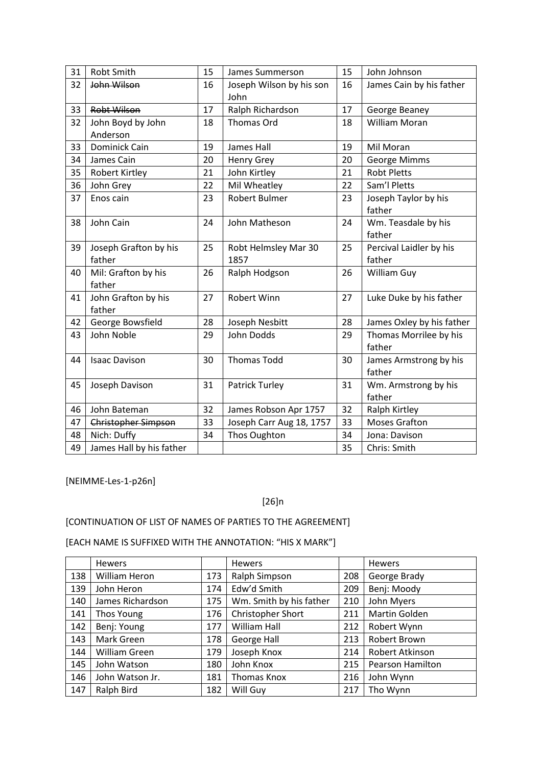| 31 | Robt Smith                      | 15 | James Summerson                  | 15 | John Johnson                      |
|----|---------------------------------|----|----------------------------------|----|-----------------------------------|
| 32 | John Wilson                     | 16 | Joseph Wilson by his son<br>John | 16 | James Cain by his father          |
| 33 | <b>Robt Wilson</b>              | 17 | Ralph Richardson                 | 17 | George Beaney                     |
| 32 | John Boyd by John<br>Anderson   | 18 | Thomas Ord                       | 18 | <b>William Moran</b>              |
| 33 | <b>Dominick Cain</b>            | 19 | James Hall                       | 19 | Mil Moran                         |
| 34 | James Cain                      | 20 | <b>Henry Grey</b>                | 20 | George Mimms                      |
| 35 | <b>Robert Kirtley</b>           | 21 | John Kirtley                     | 21 | <b>Robt Pletts</b>                |
| 36 | John Grey                       | 22 | Mil Wheatley                     | 22 | Sam'l Pletts                      |
| 37 | Enos cain                       | 23 | Robert Bulmer                    | 23 | Joseph Taylor by his<br>father    |
| 38 | John Cain                       | 24 | John Matheson                    | 24 | Wm. Teasdale by his<br>father     |
| 39 | Joseph Grafton by his<br>father | 25 | Robt Helmsley Mar 30<br>1857     | 25 | Percival Laidler by his<br>father |
| 40 | Mil: Grafton by his<br>father   | 26 | Ralph Hodgson                    | 26 | William Guy                       |
| 41 | John Grafton by his<br>father   | 27 | <b>Robert Winn</b>               | 27 | Luke Duke by his father           |
| 42 | George Bowsfield                | 28 | Joseph Nesbitt                   | 28 | James Oxley by his father         |
| 43 | John Noble                      | 29 | John Dodds                       | 29 | Thomas Morrilee by his<br>father  |
| 44 | <b>Isaac Davison</b>            | 30 | <b>Thomas Todd</b>               | 30 | James Armstrong by his<br>father  |
| 45 | Joseph Davison                  | 31 | <b>Patrick Turley</b>            | 31 | Wm. Armstrong by his<br>father    |
| 46 | John Bateman                    | 32 | James Robson Apr 1757            | 32 | Ralph Kirtley                     |
| 47 | <b>Christopher Simpson</b>      | 33 | Joseph Carr Aug 18, 1757         | 33 | <b>Moses Grafton</b>              |
| 48 | Nich: Duffy                     | 34 | Thos Oughton                     | 34 | Jona: Davison                     |
| 49 | James Hall by his father        |    |                                  | 35 | Chris: Smith                      |

[NEIMME-Les-1-p26n]

### [26]n

## [CONTINUATION OF LIST OF NAMES OF PARTIES TO THE AGREEMENT]

|     | <b>Hewers</b>    |     | Hewers                  |     | <b>Hewers</b>           |
|-----|------------------|-----|-------------------------|-----|-------------------------|
| 138 | William Heron    | 173 | Ralph Simpson           | 208 | George Brady            |
| 139 | John Heron       | 174 | Edw'd Smith             | 209 | Benj: Moody             |
| 140 | James Richardson | 175 | Wm. Smith by his father | 210 | John Myers              |
| 141 | Thos Young       | 176 | Christopher Short       | 211 | Martin Golden           |
| 142 | Benj: Young      | 177 | William Hall            | 212 | Robert Wynn             |
| 143 | Mark Green       | 178 | George Hall             | 213 | Robert Brown            |
| 144 | William Green    | 179 | Joseph Knox             | 214 | Robert Atkinson         |
| 145 | John Watson      | 180 | John Knox               | 215 | <b>Pearson Hamilton</b> |
| 146 | John Watson Jr.  | 181 | Thomas Knox             | 216 | John Wynn               |
| 147 | Ralph Bird       | 182 | Will Guy                | 217 | Tho Wynn                |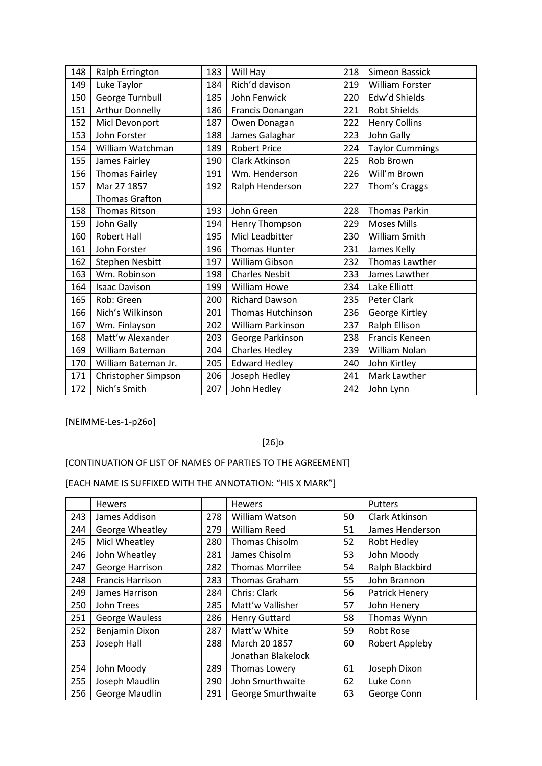| 148 | Ralph Errington        | 183 | Will Hay                 | 218 | Simeon Bassick         |
|-----|------------------------|-----|--------------------------|-----|------------------------|
| 149 | Luke Taylor            | 184 | Rich'd davison           | 219 | William Forster        |
| 150 | George Turnbull        | 185 | John Fenwick             | 220 | Edw'd Shields          |
| 151 | <b>Arthur Donnelly</b> | 186 | Francis Donangan         | 221 | <b>Robt Shields</b>    |
| 152 | Micl Devonport         | 187 | Owen Donagan             | 222 | <b>Henry Collins</b>   |
| 153 | John Forster           | 188 | James Galaghar           | 223 | John Gally             |
| 154 | William Watchman       | 189 | <b>Robert Price</b>      | 224 | <b>Taylor Cummings</b> |
| 155 | James Fairley          | 190 | Clark Atkinson           | 225 | Rob Brown              |
| 156 | <b>Thomas Fairley</b>  | 191 | Wm. Henderson            | 226 | Will'm Brown           |
| 157 | Mar 27 1857            | 192 | Ralph Henderson          | 227 | Thom's Craggs          |
|     | <b>Thomas Grafton</b>  |     |                          |     |                        |
| 158 | <b>Thomas Ritson</b>   | 193 | John Green               | 228 | <b>Thomas Parkin</b>   |
| 159 | John Gally             | 194 | Henry Thompson           | 229 | <b>Moses Mills</b>     |
| 160 | <b>Robert Hall</b>     | 195 | Micl Leadbitter          | 230 | William Smith          |
| 161 | John Forster           | 196 | <b>Thomas Hunter</b>     | 231 | James Kelly            |
| 162 | Stephen Nesbitt        | 197 | William Gibson           | 232 | Thomas Lawther         |
| 163 | Wm. Robinson           | 198 | <b>Charles Nesbit</b>    | 233 | James Lawther          |
| 164 | <b>Isaac Davison</b>   | 199 | <b>William Howe</b>      | 234 | Lake Elliott           |
| 165 | Rob: Green             | 200 | <b>Richard Dawson</b>    | 235 | Peter Clark            |
| 166 | Nich's Wilkinson       | 201 | <b>Thomas Hutchinson</b> | 236 | George Kirtley         |
| 167 | Wm. Finlayson          | 202 | William Parkinson        | 237 | Ralph Ellison          |
| 168 | Matt'w Alexander       | 203 | George Parkinson         | 238 | Francis Keneen         |
| 169 | William Bateman        | 204 | <b>Charles Hedley</b>    | 239 | William Nolan          |
| 170 | William Bateman Jr.    | 205 | <b>Edward Hedley</b>     | 240 | John Kirtley           |
| 171 | Christopher Simpson    | 206 | Joseph Hedley            | 241 | Mark Lawther           |
| 172 | Nich's Smith           | 207 | John Hedley              | 242 | John Lynn              |

[NEIMME-Les-1-p26o]

## [26]o

## [CONTINUATION OF LIST OF NAMES OF PARTIES TO THE AGREEMENT]

|     | Hewers                  |     | Hewers                 |    | Putters          |
|-----|-------------------------|-----|------------------------|----|------------------|
| 243 | James Addison           | 278 | William Watson         | 50 | Clark Atkinson   |
| 244 | George Wheatley         | 279 | <b>William Reed</b>    | 51 | James Henderson  |
| 245 | Micl Wheatley           | 280 | Thomas Chisolm         | 52 | Robt Hedley      |
| 246 | John Wheatley           | 281 | James Chisolm          | 53 | John Moody       |
| 247 | George Harrison         | 282 | <b>Thomas Morrilee</b> | 54 | Ralph Blackbird  |
| 248 | <b>Francis Harrison</b> | 283 | Thomas Graham          | 55 | John Brannon     |
| 249 | James Harrison          | 284 | Chris: Clark           | 56 | Patrick Henery   |
| 250 | John Trees              | 285 | Matt'w Vallisher       | 57 | John Henery      |
| 251 | <b>George Wauless</b>   | 286 | <b>Henry Guttard</b>   | 58 | Thomas Wynn      |
| 252 | Benjamin Dixon          | 287 | Matt'w White           | 59 | <b>Robt Rose</b> |
| 253 | Joseph Hall             | 288 | March 20 1857          | 60 | Robert Appleby   |
|     |                         |     | Jonathan Blakelock     |    |                  |
| 254 | John Moody              | 289 | Thomas Lowery          | 61 | Joseph Dixon     |
| 255 | Joseph Maudlin          | 290 | John Smurthwaite       | 62 | Luke Conn        |
| 256 | George Maudlin          | 291 | George Smurthwaite     | 63 | George Conn      |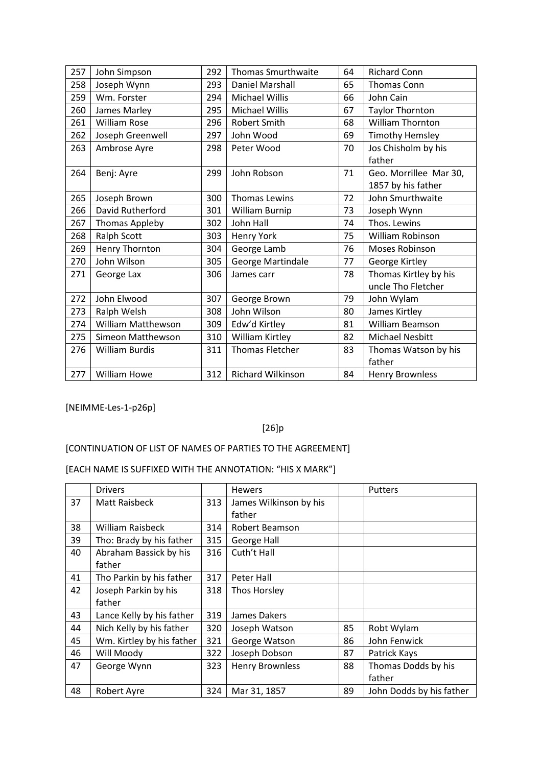| John Simpson              | 292 | <b>Thomas Smurthwaite</b> | 64 | <b>Richard Conn</b>    |
|---------------------------|-----|---------------------------|----|------------------------|
| Joseph Wynn               | 293 | Daniel Marshall           | 65 | Thomas Conn            |
| Wm. Forster               | 294 | <b>Michael Willis</b>     | 66 | John Cain              |
| James Marley              | 295 | Michael Willis            | 67 | <b>Taylor Thornton</b> |
| <b>William Rose</b>       | 296 | Robert Smith              | 68 | William Thornton       |
| Joseph Greenwell          | 297 | John Wood                 | 69 | <b>Timothy Hemsley</b> |
| Ambrose Ayre              | 298 | Peter Wood                | 70 | Jos Chisholm by his    |
|                           |     |                           |    | father                 |
| Benj: Ayre                | 299 | John Robson               | 71 | Geo. Morrillee Mar 30, |
|                           |     |                           |    | 1857 by his father     |
| Joseph Brown              | 300 | <b>Thomas Lewins</b>      | 72 | John Smurthwaite       |
| David Rutherford          | 301 | William Burnip            | 73 | Joseph Wynn            |
| <b>Thomas Appleby</b>     | 302 | John Hall                 | 74 | Thos. Lewins           |
| Ralph Scott               | 303 | Henry York                | 75 | William Robinson       |
| Henry Thornton            | 304 | George Lamb               | 76 | Moses Robinson         |
| John Wilson               | 305 | George Martindale         | 77 | George Kirtley         |
| George Lax                | 306 | James carr                | 78 | Thomas Kirtley by his  |
|                           |     |                           |    | uncle Tho Fletcher     |
| John Elwood               | 307 | George Brown              | 79 | John Wylam             |
| Ralph Welsh               | 308 | John Wilson               | 80 | James Kirtley          |
| <b>William Matthewson</b> | 309 | Edw'd Kirtley             | 81 | William Beamson        |
| Simeon Matthewson         | 310 | William Kirtley           | 82 | <b>Michael Nesbitt</b> |
| <b>William Burdis</b>     | 311 | <b>Thomas Fletcher</b>    | 83 | Thomas Watson by his   |
|                           |     |                           |    | father                 |
| <b>William Howe</b>       | 312 | <b>Richard Wilkinson</b>  | 84 | <b>Henry Brownless</b> |
|                           |     |                           |    |                        |

[NEIMME-Les-1-p26p]

# [26]p

# [CONTINUATION OF LIST OF NAMES OF PARTIES TO THE AGREEMENT]

|    | <b>Drivers</b>            |     | <b>Hewers</b>          |    | <b>Putters</b>           |
|----|---------------------------|-----|------------------------|----|--------------------------|
| 37 | <b>Matt Raisbeck</b>      | 313 | James Wilkinson by his |    |                          |
|    |                           |     | father                 |    |                          |
| 38 | William Raisbeck          | 314 | Robert Beamson         |    |                          |
| 39 | Tho: Brady by his father  | 315 | George Hall            |    |                          |
| 40 | Abraham Bassick by his    | 316 | Cuth't Hall            |    |                          |
|    | father                    |     |                        |    |                          |
| 41 | Tho Parkin by his father  | 317 | Peter Hall             |    |                          |
| 42 | Joseph Parkin by his      | 318 | Thos Horsley           |    |                          |
|    | father                    |     |                        |    |                          |
| 43 | Lance Kelly by his father | 319 | James Dakers           |    |                          |
| 44 | Nich Kelly by his father  | 320 | Joseph Watson          | 85 | Robt Wylam               |
| 45 | Wm. Kirtley by his father | 321 | George Watson          | 86 | John Fenwick             |
| 46 | Will Moody                | 322 | Joseph Dobson          | 87 | Patrick Kays             |
| 47 | George Wynn               | 323 | <b>Henry Brownless</b> | 88 | Thomas Dodds by his      |
|    |                           |     |                        |    | father                   |
| 48 | Robert Ayre               | 324 | Mar 31, 1857           | 89 | John Dodds by his father |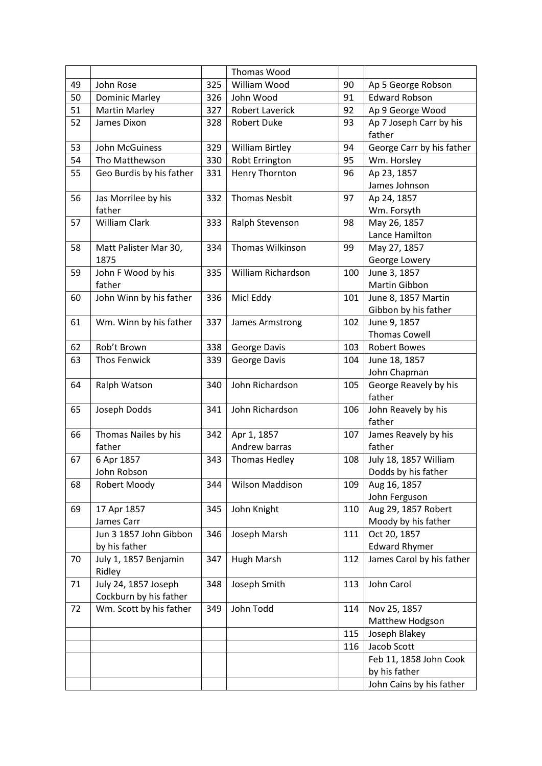|    |                                                |     | <b>Thomas Wood</b>     |     |                                   |
|----|------------------------------------------------|-----|------------------------|-----|-----------------------------------|
| 49 | John Rose                                      | 325 | William Wood           | 90  | Ap 5 George Robson                |
| 50 | <b>Dominic Marley</b>                          | 326 | John Wood              | 91  | <b>Edward Robson</b>              |
| 51 | <b>Martin Marley</b>                           | 327 | <b>Robert Laverick</b> | 92  | Ap 9 George Wood                  |
| 52 | James Dixon                                    | 328 | <b>Robert Duke</b>     | 93  | Ap 7 Joseph Carr by his<br>father |
| 53 | John McGuiness                                 | 329 | <b>William Birtley</b> | 94  | George Carr by his father         |
| 54 | Tho Matthewson                                 | 330 | Robt Errington         | 95  | Wm. Horsley                       |
| 55 | Geo Burdis by his father                       | 331 | <b>Henry Thornton</b>  | 96  | Ap 23, 1857                       |
|    |                                                |     |                        |     | James Johnson                     |
| 56 | Jas Morrilee by his                            | 332 | <b>Thomas Nesbit</b>   | 97  | Ap 24, 1857                       |
|    | father                                         |     |                        |     | Wm. Forsyth                       |
| 57 | William Clark                                  | 333 | Ralph Stevenson        | 98  | May 26, 1857                      |
|    |                                                |     |                        |     | Lance Hamilton                    |
| 58 | Matt Palister Mar 30,                          | 334 | Thomas Wilkinson       | 99  | May 27, 1857                      |
|    | 1875                                           |     |                        |     | George Lowery                     |
| 59 | John F Wood by his                             | 335 | William Richardson     | 100 | June 3, 1857                      |
|    | father                                         |     |                        |     | Martin Gibbon                     |
| 60 | John Winn by his father                        | 336 | Micl Eddy              | 101 | June 8, 1857 Martin               |
|    |                                                |     |                        |     | Gibbon by his father              |
| 61 | Wm. Winn by his father                         | 337 | James Armstrong        | 102 | June 9, 1857                      |
|    |                                                |     |                        |     | <b>Thomas Cowell</b>              |
| 62 | Rob't Brown                                    | 338 | George Davis           | 103 | <b>Robert Bowes</b>               |
| 63 | <b>Thos Fenwick</b>                            | 339 | George Davis           | 104 | June 18, 1857                     |
|    |                                                |     |                        |     | John Chapman                      |
| 64 | Ralph Watson                                   | 340 | John Richardson        | 105 | George Reavely by his<br>father   |
| 65 | Joseph Dodds                                   | 341 | John Richardson        | 106 | John Reavely by his<br>father     |
| 66 | Thomas Nailes by his                           | 342 | Apr 1, 1857            | 107 | James Reavely by his              |
|    | father                                         |     | Andrew barras          |     | father                            |
| 67 | 6 Apr 1857                                     | 343 | Thomas Hedley          | 108 | July 18, 1857 William             |
|    | John Robson                                    |     |                        |     | Dodds by his father               |
| 68 | Robert Moody                                   | 344 | Wilson Maddison        | 109 | Aug 16, 1857                      |
|    |                                                |     |                        |     | John Ferguson                     |
| 69 | 17 Apr 1857                                    | 345 | John Knight            | 110 | Aug 29, 1857 Robert               |
|    | James Carr                                     |     |                        |     | Moody by his father               |
|    | Jun 3 1857 John Gibbon                         | 346 | Joseph Marsh           | 111 | Oct 20, 1857                      |
|    | by his father                                  |     |                        |     | <b>Edward Rhymer</b>              |
| 70 | July 1, 1857 Benjamin<br>Ridley                | 347 | <b>Hugh Marsh</b>      | 112 | James Carol by his father         |
| 71 | July 24, 1857 Joseph<br>Cockburn by his father | 348 | Joseph Smith           | 113 | John Carol                        |
| 72 | Wm. Scott by his father                        | 349 | John Todd              | 114 | Nov 25, 1857                      |
|    |                                                |     |                        |     | Matthew Hodgson                   |
|    |                                                |     |                        | 115 | Joseph Blakey                     |
|    |                                                |     |                        | 116 | Jacob Scott                       |
|    |                                                |     |                        |     | Feb 11, 1858 John Cook            |
|    |                                                |     |                        |     | by his father                     |
|    |                                                |     |                        |     | John Cains by his father          |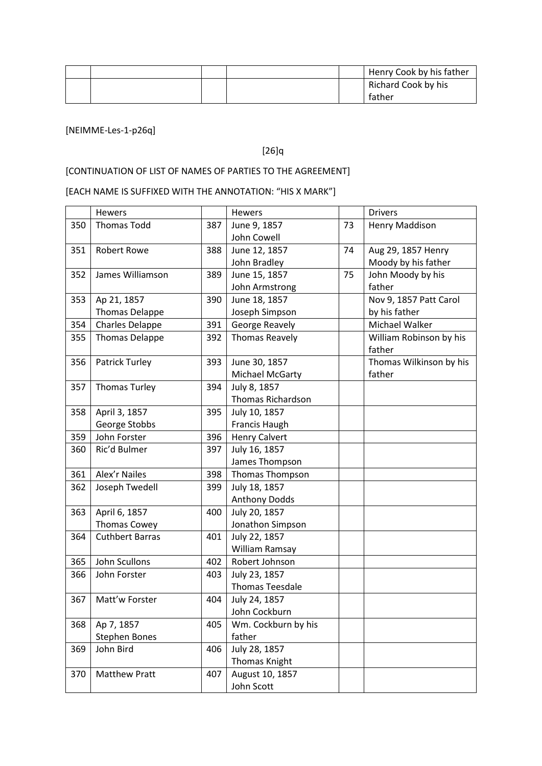|  |  | Henry Cook by his father |
|--|--|--------------------------|
|  |  | Richard Cook by his      |
|  |  | father                   |

## [NEIMME-Les-1-p26q]

## [26]q

# [CONTINUATION OF LIST OF NAMES OF PARTIES TO THE AGREEMENT]

|     | Hewers                 |     | Hewers                   |    | <b>Drivers</b>                    |
|-----|------------------------|-----|--------------------------|----|-----------------------------------|
| 350 | <b>Thomas Todd</b>     | 387 | June 9, 1857             | 73 | Henry Maddison                    |
|     |                        |     | John Cowell              |    |                                   |
| 351 | <b>Robert Rowe</b>     | 388 | June 12, 1857            | 74 | Aug 29, 1857 Henry                |
|     |                        |     | John Bradley             |    | Moody by his father               |
| 352 | James Williamson       | 389 | June 15, 1857            | 75 | John Moody by his                 |
|     |                        |     | John Armstrong           |    | father                            |
| 353 | Ap 21, 1857            | 390 | June 18, 1857            |    | Nov 9, 1857 Patt Carol            |
|     | <b>Thomas Delappe</b>  |     | Joseph Simpson           |    | by his father                     |
| 354 | Charles Delappe        | 391 | George Reavely           |    | Michael Walker                    |
| 355 | <b>Thomas Delappe</b>  | 392 | <b>Thomas Reavely</b>    |    | William Robinson by his<br>father |
| 356 | Patrick Turley         | 393 | June 30, 1857            |    | Thomas Wilkinson by his           |
|     |                        |     | Michael McGarty          |    | father                            |
| 357 | <b>Thomas Turley</b>   | 394 | July 8, 1857             |    |                                   |
|     |                        |     | <b>Thomas Richardson</b> |    |                                   |
| 358 | April 3, 1857          | 395 | July 10, 1857            |    |                                   |
|     | George Stobbs          |     | Francis Haugh            |    |                                   |
| 359 | John Forster           | 396 | <b>Henry Calvert</b>     |    |                                   |
| 360 | Ric'd Bulmer           | 397 | July 16, 1857            |    |                                   |
|     |                        |     | James Thompson           |    |                                   |
| 361 | <b>Alex'r Nailes</b>   | 398 | Thomas Thompson          |    |                                   |
| 362 | Joseph Twedell         | 399 | July 18, 1857            |    |                                   |
|     |                        |     | <b>Anthony Dodds</b>     |    |                                   |
| 363 | April 6, 1857          | 400 | July 20, 1857            |    |                                   |
|     | <b>Thomas Cowey</b>    |     | Jonathon Simpson         |    |                                   |
| 364 | <b>Cuthbert Barras</b> | 401 | July 22, 1857            |    |                                   |
|     |                        |     | William Ramsay           |    |                                   |
| 365 | John Scullons          | 402 | Robert Johnson           |    |                                   |
| 366 | John Forster           | 403 | July 23, 1857            |    |                                   |
|     |                        |     | <b>Thomas Teesdale</b>   |    |                                   |
| 367 | Matt'w Forster         | 404 | July 24, 1857            |    |                                   |
|     |                        |     | John Cockburn            |    |                                   |
| 368 | Ap 7, 1857             | 405 | Wm. Cockburn by his      |    |                                   |
|     | <b>Stephen Bones</b>   |     | father                   |    |                                   |
| 369 | John Bird              | 406 | July 28, 1857            |    |                                   |
|     |                        |     | Thomas Knight            |    |                                   |
| 370 | <b>Matthew Pratt</b>   | 407 | August 10, 1857          |    |                                   |
|     |                        |     | John Scott               |    |                                   |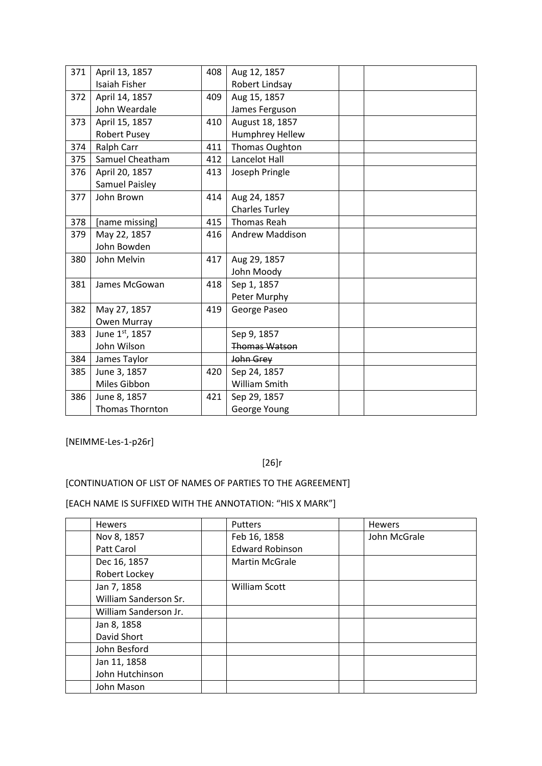| 371 | April 13, 1857         | 408 | Aug 12, 1857          |  |
|-----|------------------------|-----|-----------------------|--|
|     | <b>Isaiah Fisher</b>   |     | Robert Lindsay        |  |
| 372 | April 14, 1857         | 409 | Aug 15, 1857          |  |
|     | John Weardale          |     | James Ferguson        |  |
| 373 | April 15, 1857         | 410 | August 18, 1857       |  |
|     | <b>Robert Pusey</b>    |     | Humphrey Hellew       |  |
| 374 | <b>Ralph Carr</b>      | 411 | Thomas Oughton        |  |
| 375 | Samuel Cheatham        | 412 | Lancelot Hall         |  |
| 376 | April 20, 1857         | 413 | Joseph Pringle        |  |
|     | <b>Samuel Paisley</b>  |     |                       |  |
| 377 | John Brown             | 414 | Aug 24, 1857          |  |
|     |                        |     | <b>Charles Turley</b> |  |
| 378 | [name missing]         | 415 | <b>Thomas Reah</b>    |  |
| 379 | May 22, 1857           | 416 | Andrew Maddison       |  |
|     | John Bowden            |     |                       |  |
| 380 | John Melvin            | 417 | Aug 29, 1857          |  |
|     |                        |     | John Moody            |  |
| 381 | James McGowan          | 418 | Sep 1, 1857           |  |
|     |                        |     | Peter Murphy          |  |
| 382 | May 27, 1857           | 419 | George Paseo          |  |
|     | Owen Murray            |     |                       |  |
| 383 | June 1st, 1857         |     | Sep 9, 1857           |  |
|     | John Wilson            |     | <b>Thomas Watson</b>  |  |
| 384 | James Taylor           |     | John Grey             |  |
| 385 | June 3, 1857           | 420 | Sep 24, 1857          |  |
|     | Miles Gibbon           |     | William Smith         |  |
| 386 | June 8, 1857           | 421 | Sep 29, 1857          |  |
|     | <b>Thomas Thornton</b> |     | George Young          |  |

[NEIMME-Les-1-p26r]

## [26]r

## [CONTINUATION OF LIST OF NAMES OF PARTIES TO THE AGREEMENT]

| <b>Hewers</b>         | <b>Putters</b>         | <b>Hewers</b> |
|-----------------------|------------------------|---------------|
| Nov 8, 1857           | Feb 16, 1858           | John McGrale  |
| Patt Carol            | <b>Edward Robinson</b> |               |
| Dec 16, 1857          | <b>Martin McGrale</b>  |               |
| Robert Lockey         |                        |               |
| Jan 7, 1858           | <b>William Scott</b>   |               |
| William Sanderson Sr. |                        |               |
| William Sanderson Jr. |                        |               |
| Jan 8, 1858           |                        |               |
| David Short           |                        |               |
| John Besford          |                        |               |
| Jan 11, 1858          |                        |               |
| John Hutchinson       |                        |               |
| John Mason            |                        |               |